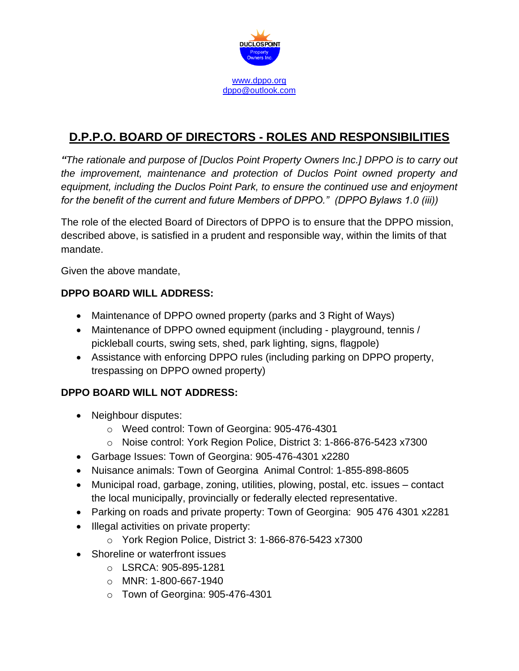

# **D.P.P.O. BOARD OF DIRECTORS - ROLES AND RESPONSIBILITIES**

*"The rationale and purpose of [Duclos Point Property Owners Inc.] DPPO is to carry out the improvement, maintenance and protection of Duclos Point owned property and equipment, including the Duclos Point Park, to ensure the continued use and enjoyment for the benefit of the current and future Members of DPPO." (DPPO Bylaws 1.0 (iii))*

The role of the elected Board of Directors of DPPO is to ensure that the DPPO mission, described above, is satisfied in a prudent and responsible way, within the limits of that mandate.

Given the above mandate,

## **DPPO BOARD WILL ADDRESS:**

- Maintenance of DPPO owned property (parks and 3 Right of Ways)
- Maintenance of DPPO owned equipment (including playground, tennis / pickleball courts, swing sets, shed, park lighting, signs, flagpole)
- Assistance with enforcing DPPO rules (including parking on DPPO property, trespassing on DPPO owned property)

# **DPPO BOARD WILL NOT ADDRESS:**

- Neighbour disputes:
	- o Weed control: Town of Georgina: 905-476-4301
	- o Noise control: York Region Police, District 3: 1-866-876-5423 x7300
- Garbage Issues: Town of Georgina: 905-476-4301 x2280
- Nuisance animals: Town of Georgina Animal Control: 1-855-898-8605
- Municipal road, garbage, zoning, utilities, plowing, postal, etc. issues contact the local municipally, provincially or federally elected representative.
- Parking on roads and private property: Town of Georgina: [905 476 4301 x2281](tel:%28905%20476%204301%20x%202281)
- Illegal activities on private property:
	- o York Region Police, District 3: 1-866-876-5423 x7300
- Shoreline or waterfront issues
	- o LSRCA: 905-895-1281
	- o MNR: 1-800-667-1940
	- o Town of Georgina: 905-476-4301